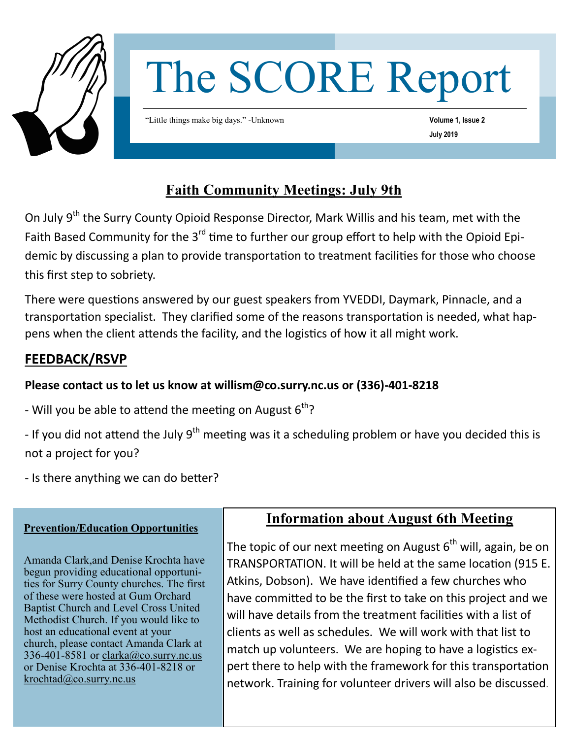

# The SCORE Report

"Little things make big days." -Unknown

**Volume 1, Issue 2 July 2019** 

## **Faith Community Meetings: July 9th**

On July 9<sup>th</sup> the Surry County Opioid Response Director, Mark Willis and his team, met with the Faith Based Community for the 3<sup>rd</sup> time to further our group effort to help with the Opioid Epidemic by discussing a plan to provide transportation to treatment facilities for those who choose this first step to sobriety.

There were questions answered by our guest speakers from YVEDDI, Daymark, Pinnacle, and a transportation specialist. They clarified some of the reasons transportation is needed, what happens when the client attends the facility, and the logistics of how it all might work.

## **FEEDBACK/RSVP**

## **Please contact us to let us know at willism@co.surry.nc.us or (336)-401-8218**

- Will you be able to attend the meeting on August  $6^{th}$ ?
- If you did not attend the July  $9<sup>th</sup>$  meeting was it a scheduling problem or have you decided this is not a project for you?
- Is there anything we can do better?

### **Prevention/Education Opportunities**

Amanda Clark,and Denise Krochta have begun providing educational opportunities for Surry County churches. The first of these were hosted at Gum Orchard Baptist Church and Level Cross United Methodist Church. If you would like to host an educational event at your church, please contact Amanda Clark at 336-401-8581 or [clarka@co.surry.nc.us](mailto:clarka@co.surry.nc.us) or Denise Krochta at 336-401-8218 or [krochtad@co.surry.nc.us](mailto:krochtad@co.surry.nc.us)

## **Information about August 6th Meeting**

The topic of our next meeting on August  $6<sup>th</sup>$  will, again, be on TRANSPORTATION. It will be held at the same location (915 E. Atkins, Dobson). We have identified a few churches who have committed to be the first to take on this project and we will have details from the treatment facilities with a list of clients as well as schedules. We will work with that list to match up volunteers. We are hoping to have a logistics expert there to help with the framework for this transportation network. Training for volunteer drivers will also be discussed.